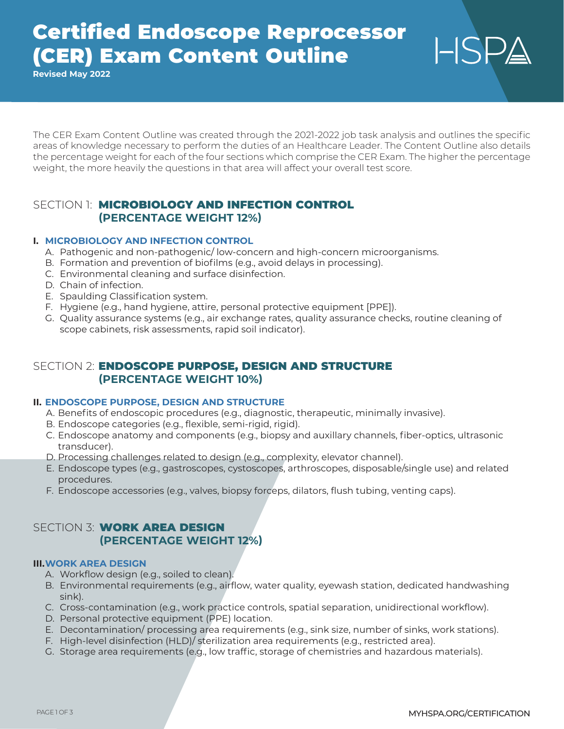# Certified Endoscope Reprocessor (CER) Exam Content Outline

**Revised May 2022**

The CER Exam Content Outline was created through the 2021-2022 job task analysis and outlines the specific areas of knowledge necessary to perform the duties of an Healthcare Leader. The Content Outline also details the percentage weight for each of the four sections which comprise the CER Exam. The higher the percentage weight, the more heavily the questions in that area will affect your overall test score.

## SECTION 1: **MICROBIOLOGY AND INFECTION CONTROL (PERCENTAGE WEIGHT 12%)**

### **I. MICROBIOLOGY AND INFECTION CONTROL**

- A. Pathogenic and non-pathogenic/ low-concern and high-concern microorganisms.
- B. Formation and prevention of biofilms (e.g., avoid delays in processing).
- C. Environmental cleaning and surface disinfection.
- D. Chain of infection.
- E. Spaulding Classification system.
- F. Hygiene (e.g., hand hygiene, attire, personal protective equipment [PPE]).
- G. Quality assurance systems (e.g., air exchange rates, quality assurance checks, routine cleaning of scope cabinets, risk assessments, rapid soil indicator).

## SECTION 2: ENDOSCOPE PURPOSE, DESIGN AND STRUCTURE **(PERCENTAGE WEIGHT 10%)**

#### **II. ENDOSCOPE PURPOSE, DESIGN AND STRUCTURE**

- A. Benefits of endoscopic procedures (e.g., diagnostic, therapeutic, minimally invasive).
- B. Endoscope categories (e.g., flexible, semi-rigid, rigid).
- C. Endoscope anatomy and components (e.g., biopsy and auxillary channels, fiber-optics, ultrasonic transducer).
- D. Processing challenges related to design (e.g., complexity, elevator channel).
- E. Endoscope types (e.g., gastroscopes, cystoscopes, arthroscopes, disposable/single use) and related procedures.
- F. Endoscope accessories (e.g., valves, biopsy forceps, dilators, flush tubing, venting caps).

## SECTION 3: **WORK AREA DESIGN (PERCENTAGE WEIGHT 12%)**

#### **III.WORK AREA DESIGN**

- A. Workflow design (e.g., soiled to clean).
- B. Environmental requirements (e.g., airflow, water quality, eyewash station, dedicated handwashing sink).
- C. Cross-contamination (e.g., work practice controls, spatial separation, unidirectional workflow).
- D. Personal protective equipment (PPE) location.
- E. Decontamination/ processing area requirements (e.g., sink size, number of sinks, work stations).
- F. High-level disinfection (HLD)/ sterilization area requirements (e.g., restricted area).
- G. Storage area requirements (e.g., low traffic, storage of chemistries and hazardous materials).

 $HSP_4$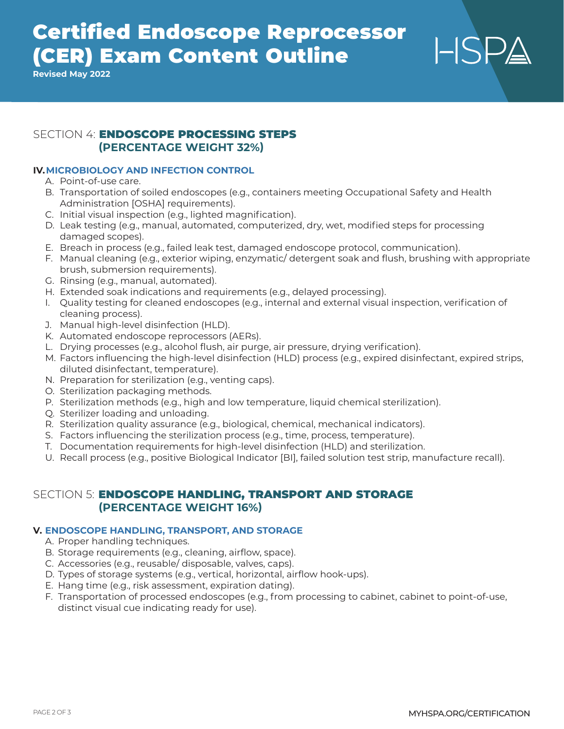# Certified Endoscope Reprocessor (CER) Exam Content Outline

**Revised May 2022**

## SECTION 4: ENDOSCOPE PROCESSING STEPS **(PERCENTAGE WEIGHT 32%)**

## **IV.MICROBIOLOGY AND INFECTION CONTROL**

- A. Point-of-use care.
- B. Transportation of soiled endoscopes (e.g., containers meeting Occupational Safety and Health Administration [OSHA] requirements).
- C. Initial visual inspection (e.g., lighted magnification).
- D. Leak testing (e.g., manual, automated, computerized, dry, wet, modified steps for processing damaged scopes).
- E. Breach in process (e.g., failed leak test, damaged endoscope protocol, communication).
- F. Manual cleaning (e.g., exterior wiping, enzymatic/ detergent soak and flush, brushing with appropriate brush, submersion requirements).
- G. Rinsing (e.g., manual, automated).
- H. Extended soak indications and requirements (e.g., delayed processing).
- I. Quality testing for cleaned endoscopes (e.g., internal and external visual inspection, verification of cleaning process).
- J. Manual high-level disinfection (HLD).
- K. Automated endoscope reprocessors (AERs).
- L. Drying processes (e.g., alcohol flush, air purge, air pressure, drying verification).
- M. Factors influencing the high-level disinfection (HLD) process (e.g., expired disinfectant, expired strips, diluted disinfectant, temperature).
- N. Preparation for sterilization (e.g., venting caps).
- O. Sterilization packaging methods.
- P. Sterilization methods (e.g., high and low temperature, liquid chemical sterilization).
- Q. Sterilizer loading and unloading.
- R. Sterilization quality assurance (e.g., biological, chemical, mechanical indicators).
- S. Factors influencing the sterilization process (e.g., time, process, temperature).
- T. Documentation requirements for high-level disinfection (HLD) and sterilization.
- U. Recall process (e.g., positive Biological Indicator [BI], failed solution test strip, manufacture recall).

## SECTION 5: ENDOSCOPE HANDLING, TRANSPORT AND STORAGE **(PERCENTAGE WEIGHT 16%)**

### **V. ENDOSCOPE HANDLING, TRANSPORT, AND STORAGE**

- A. Proper handling techniques.
- B. Storage requirements (e.g., cleaning, airflow, space).
- C. Accessories (e.g., reusable/ disposable, valves, caps).
- D. Types of storage systems (e.g., vertical, horizontal, airflow hook-ups).
- E. Hang time (e.g., risk assessment, expiration dating).
- F. Transportation of processed endoscopes (e.g., from processing to cabinet, cabinet to point-of-use, distinct visual cue indicating ready for use).

 $HSP_4$